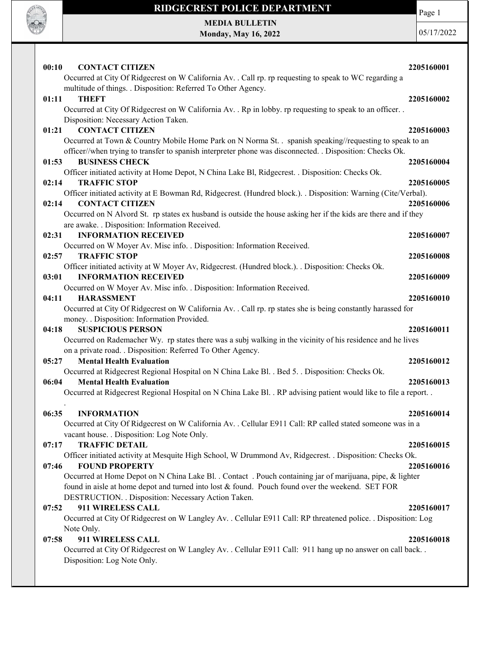

Page 1

MEDIA BULLETIN Monday, May 16, 2022

| 00:10<br><b>CONTACT CITIZEN</b>                                                                                                                                                                               | 2205160001 |
|---------------------------------------------------------------------------------------------------------------------------------------------------------------------------------------------------------------|------------|
| Occurred at City Of Ridgecrest on W California Av. . Call rp. rp requesting to speak to WC regarding a                                                                                                        |            |
| multitude of things. . Disposition: Referred To Other Agency.                                                                                                                                                 |            |
| 01:11<br><b>THEFT</b>                                                                                                                                                                                         | 2205160002 |
| Occurred at City Of Ridgecrest on W California Av. . Rp in lobby. rp requesting to speak to an officer. .                                                                                                     |            |
| Disposition: Necessary Action Taken.<br><b>CONTACT CITIZEN</b><br>01:21                                                                                                                                       | 2205160003 |
| Occurred at Town & Country Mobile Home Park on N Norma St. . spanish speaking//requesting to speak to an                                                                                                      |            |
| officer//when trying to transfer to spanish interpreter phone was disconnected. . Disposition: Checks Ok.                                                                                                     |            |
| <b>BUSINESS CHECK</b><br>01:53                                                                                                                                                                                | 2205160004 |
| Officer initiated activity at Home Depot, N China Lake Bl, Ridgecrest. . Disposition: Checks Ok.                                                                                                              |            |
| 02:14<br><b>TRAFFIC STOP</b>                                                                                                                                                                                  | 2205160005 |
| Officer initiated activity at E Bowman Rd, Ridgecrest. (Hundred block.). . Disposition: Warning (Cite/Verbal).                                                                                                |            |
| 02:14<br><b>CONTACT CITIZEN</b>                                                                                                                                                                               | 2205160006 |
| Occurred on N Alvord St. rp states ex husband is outside the house asking her if the kids are there and if they                                                                                               |            |
| are awake. . Disposition: Information Received.                                                                                                                                                               |            |
| <b>INFORMATION RECEIVED</b><br>02:31                                                                                                                                                                          | 2205160007 |
| Occurred on W Moyer Av. Misc info. . Disposition: Information Received.<br>02:57<br><b>TRAFFIC STOP</b>                                                                                                       | 2205160008 |
| Officer initiated activity at W Moyer Av, Ridgecrest. (Hundred block.). . Disposition: Checks Ok.                                                                                                             |            |
| 03:01<br><b>INFORMATION RECEIVED</b>                                                                                                                                                                          | 2205160009 |
| Occurred on W Moyer Av. Misc info. . Disposition: Information Received.                                                                                                                                       |            |
| <b>HARASSMENT</b><br>04:11                                                                                                                                                                                    | 2205160010 |
| Occurred at City Of Ridgecrest on W California Av. . Call rp. rp states she is being constantly harassed for                                                                                                  |            |
| money. . Disposition: Information Provided.                                                                                                                                                                   |            |
| <b>SUSPICIOUS PERSON</b><br>04:18                                                                                                                                                                             | 2205160011 |
| Occurred on Rademacher Wy. rp states there was a subj walking in the vicinity of his residence and he lives                                                                                                   |            |
| on a private road. . Disposition: Referred To Other Agency.                                                                                                                                                   |            |
| 05:27<br><b>Mental Health Evaluation</b><br>Occurred at Ridgecrest Regional Hospital on N China Lake Bl. . Bed 5. . Disposition: Checks Ok.                                                                   | 2205160012 |
| 06:04<br><b>Mental Health Evaluation</b>                                                                                                                                                                      | 2205160013 |
| Occurred at Ridgecrest Regional Hospital on N China Lake Bl. . RP advising patient would like to file a report. .                                                                                             |            |
|                                                                                                                                                                                                               |            |
| 06:35<br><b>INFORMATION</b>                                                                                                                                                                                   | 2205160014 |
| Occurred at City Of Ridgecrest on W California Av. . Cellular E911 Call: RP called stated someone was in a                                                                                                    |            |
| vacant house. . Disposition: Log Note Only.                                                                                                                                                                   |            |
| <b>TRAFFIC DETAIL</b><br>07:17                                                                                                                                                                                | 2205160015 |
| Officer initiated activity at Mesquite High School, W Drummond Av, Ridgecrest. . Disposition: Checks Ok.                                                                                                      |            |
| <b>FOUND PROPERTY</b><br>07:46                                                                                                                                                                                | 2205160016 |
| Occurred at Home Depot on N China Lake Bl. . Contact . Pouch containing jar of marijuana, pipe, & lighter<br>found in aisle at home depot and turned into lost & found. Pouch found over the weekend. SET FOR |            |
| DESTRUCTION. . Disposition: Necessary Action Taken.                                                                                                                                                           |            |
| 911 WIRELESS CALL<br>07:52                                                                                                                                                                                    | 2205160017 |
| Occurred at City Of Ridgecrest on W Langley Av. . Cellular E911 Call: RP threatened police. . Disposition: Log                                                                                                |            |
| Note Only.                                                                                                                                                                                                    |            |
| 911 WIRELESS CALL<br>07:58                                                                                                                                                                                    | 2205160018 |
| Occurred at City Of Ridgecrest on W Langley Av. . Cellular E911 Call: 911 hang up no answer on call back. .                                                                                                   |            |
| Disposition: Log Note Only.                                                                                                                                                                                   |            |
|                                                                                                                                                                                                               |            |
|                                                                                                                                                                                                               |            |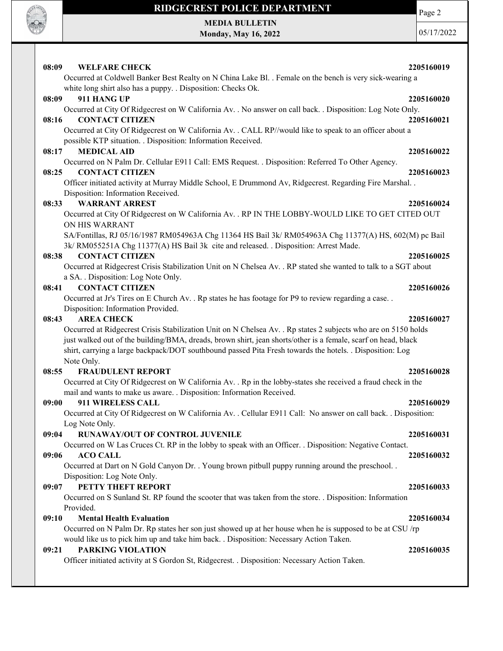

Page 2

MEDIA BULLETIN Monday, May 16, 2022

| 08:09<br><b>WELFARE CHECK</b>                                                                                                                                                                                                                                                                                                               | 2205160019                                                                                     |
|---------------------------------------------------------------------------------------------------------------------------------------------------------------------------------------------------------------------------------------------------------------------------------------------------------------------------------------------|------------------------------------------------------------------------------------------------|
| Occurred at Coldwell Banker Best Realty on N China Lake Bl. . Female on the bench is very sick-wearing a                                                                                                                                                                                                                                    |                                                                                                |
| white long shirt also has a puppy. . Disposition: Checks Ok.                                                                                                                                                                                                                                                                                |                                                                                                |
| 08:09<br>911 HANG UP                                                                                                                                                                                                                                                                                                                        | 2205160020                                                                                     |
| Occurred at City Of Ridgecrest on W California Av. . No answer on call back. . Disposition: Log Note Only.                                                                                                                                                                                                                                  |                                                                                                |
| <b>CONTACT CITIZEN</b><br>08:16                                                                                                                                                                                                                                                                                                             | 2205160021                                                                                     |
| Occurred at City Of Ridgecrest on W California Av. . CALL RP//would like to speak to an officer about a                                                                                                                                                                                                                                     |                                                                                                |
| possible KTP situation. . Disposition: Information Received.                                                                                                                                                                                                                                                                                |                                                                                                |
| <b>MEDICAL AID</b><br>08:17                                                                                                                                                                                                                                                                                                                 | 2205160022                                                                                     |
| Occurred on N Palm Dr. Cellular E911 Call: EMS Request. . Disposition: Referred To Other Agency.                                                                                                                                                                                                                                            |                                                                                                |
| <b>CONTACT CITIZEN</b><br>08:25                                                                                                                                                                                                                                                                                                             | 2205160023                                                                                     |
| Officer initiated activity at Murray Middle School, E Drummond Av, Ridgecrest. Regarding Fire Marshal                                                                                                                                                                                                                                       |                                                                                                |
| Disposition: Information Received.                                                                                                                                                                                                                                                                                                          |                                                                                                |
| <b>WARRANT ARREST</b><br>08:33                                                                                                                                                                                                                                                                                                              | 2205160024                                                                                     |
| Occurred at City Of Ridgecrest on W California Av. . RP IN THE LOBBY-WOULD LIKE TO GET CITED OUT                                                                                                                                                                                                                                            |                                                                                                |
| ON HIS WARRANT                                                                                                                                                                                                                                                                                                                              |                                                                                                |
| SA/Fontillas, RJ 05/16/1987 RM054963A Chg 11364 HS Bail 3k/ RM054963A Chg 11377(A) HS, 602(M) pc Bail                                                                                                                                                                                                                                       |                                                                                                |
| 3k/ RM055251A Chg 11377(A) HS Bail 3k cite and released. . Disposition: Arrest Made.<br><b>CONTACT CITIZEN</b><br>08:38                                                                                                                                                                                                                     | 2205160025                                                                                     |
| Occurred at Ridgecrest Crisis Stabilization Unit on N Chelsea Av. . RP stated she wanted to talk to a SGT about                                                                                                                                                                                                                             |                                                                                                |
| a SA. . Disposition: Log Note Only.                                                                                                                                                                                                                                                                                                         |                                                                                                |
| <b>CONTACT CITIZEN</b><br>08:41                                                                                                                                                                                                                                                                                                             | 2205160026                                                                                     |
| Occurred at Jr's Tires on E Church Av. . Rp states he has footage for P9 to review regarding a case. .                                                                                                                                                                                                                                      |                                                                                                |
|                                                                                                                                                                                                                                                                                                                                             |                                                                                                |
|                                                                                                                                                                                                                                                                                                                                             |                                                                                                |
| Disposition: Information Provided.<br><b>AREA CHECK</b><br>08:43                                                                                                                                                                                                                                                                            | 2205160027                                                                                     |
| Occurred at Ridgecrest Crisis Stabilization Unit on N Chelsea Av. . Rp states 2 subjects who are on 5150 holds<br>just walked out of the building/BMA, dreads, brown shirt, jean shorts/other is a female, scarf on head, black<br>shirt, carrying a large backpack/DOT southbound passed Pita Fresh towards the hotels. . Disposition: Log |                                                                                                |
| Note Only.                                                                                                                                                                                                                                                                                                                                  |                                                                                                |
| <b>FRAUDULENT REPORT</b><br>08:55                                                                                                                                                                                                                                                                                                           |                                                                                                |
| Occurred at City Of Ridgecrest on W California Av. . Rp in the lobby-states she received a fraud check in the                                                                                                                                                                                                                               |                                                                                                |
| mail and wants to make us aware. . Disposition: Information Received.<br>911 WIRELESS CALL<br>09:00                                                                                                                                                                                                                                         |                                                                                                |
| Occurred at City Of Ridgecrest on W California Av. . Cellular E911 Call: No answer on call back. . Disposition:                                                                                                                                                                                                                             |                                                                                                |
| Log Note Only.                                                                                                                                                                                                                                                                                                                              |                                                                                                |
| <b>RUNAWAY/OUT OF CONTROL JUVENILE</b><br>09:04                                                                                                                                                                                                                                                                                             |                                                                                                |
| Occurred on W Las Cruces Ct. RP in the lobby to speak with an Officer. . Disposition: Negative Contact.                                                                                                                                                                                                                                     |                                                                                                |
| 09:06<br><b>ACO CALL</b>                                                                                                                                                                                                                                                                                                                    |                                                                                                |
| Occurred at Dart on N Gold Canyon Dr. . Young brown pitbull puppy running around the preschool                                                                                                                                                                                                                                              |                                                                                                |
| Disposition: Log Note Only.                                                                                                                                                                                                                                                                                                                 |                                                                                                |
| PETTY THEFT REPORT<br>09:07                                                                                                                                                                                                                                                                                                                 |                                                                                                |
| Occurred on S Sunland St. RP found the scooter that was taken from the store. . Disposition: Information                                                                                                                                                                                                                                    |                                                                                                |
| Provided.                                                                                                                                                                                                                                                                                                                                   |                                                                                                |
| <b>Mental Health Evaluation</b><br>09:10                                                                                                                                                                                                                                                                                                    |                                                                                                |
| Occurred on N Palm Dr. Rp states her son just showed up at her house when he is supposed to be at CSU /rp                                                                                                                                                                                                                                   |                                                                                                |
| would like us to pick him up and take him back. . Disposition: Necessary Action Taken.                                                                                                                                                                                                                                                      |                                                                                                |
| <b>PARKING VIOLATION</b><br>09:21<br>Officer initiated activity at S Gordon St, Ridgecrest. . Disposition: Necessary Action Taken.                                                                                                                                                                                                          | 2205160028<br>2205160029<br>2205160031<br>2205160032<br>2205160033<br>2205160034<br>2205160035 |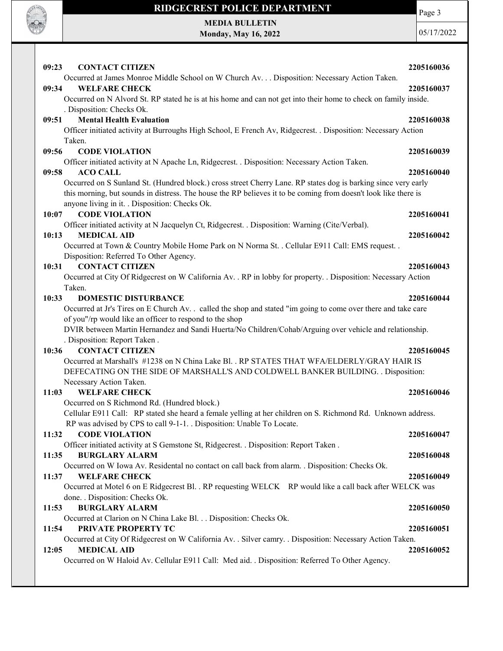

Page 3

MEDIA BULLETIN Monday, May 16, 2022

| <b>CONTACT CITIZEN</b><br>09:23                                                                                               | 2205160036 |
|-------------------------------------------------------------------------------------------------------------------------------|------------|
| Occurred at James Monroe Middle School on W Church Av. Disposition: Necessary Action Taken.                                   |            |
| 09:34<br><b>WELFARE CHECK</b>                                                                                                 | 2205160037 |
| Occurred on N Alvord St. RP stated he is at his home and can not get into their home to check on family inside.               |            |
| . Disposition: Checks Ok.                                                                                                     |            |
| <b>Mental Health Evaluation</b><br>09:51                                                                                      | 2205160038 |
| Officer initiated activity at Burroughs High School, E French Av, Ridgecrest. . Disposition: Necessary Action                 |            |
| Taken.                                                                                                                        |            |
| 09:56<br><b>CODE VIOLATION</b>                                                                                                | 2205160039 |
| Officer initiated activity at N Apache Ln, Ridgecrest. . Disposition: Necessary Action Taken.                                 |            |
| <b>ACO CALL</b><br>09:58                                                                                                      | 2205160040 |
| Occurred on S Sunland St. (Hundred block.) cross street Cherry Lane. RP states dog is barking since very early                |            |
| this morning, but sounds in distress. The house the RP believes it to be coming from doesn't look like there is               |            |
| anyone living in it. . Disposition: Checks Ok.                                                                                |            |
| 10:07<br><b>CODE VIOLATION</b>                                                                                                | 2205160041 |
| Officer initiated activity at N Jacquelyn Ct, Ridgecrest. . Disposition: Warning (Cite/Verbal).                               |            |
| 10:13<br><b>MEDICAL AID</b>                                                                                                   | 2205160042 |
| Occurred at Town & Country Mobile Home Park on N Norma St. . Cellular E911 Call: EMS request. .                               |            |
| Disposition: Referred To Other Agency.                                                                                        |            |
| <b>CONTACT CITIZEN</b><br>10:31                                                                                               | 2205160043 |
| Occurred at City Of Ridgecrest on W California Av. . RP in lobby for property. . Disposition: Necessary Action<br>Taken.      |            |
| 10:33<br><b>DOMESTIC DISTURBANCE</b>                                                                                          | 2205160044 |
| Occurred at Jr's Tires on E Church Av. . called the shop and stated "im going to come over there and take care                |            |
| of you"/rp would like an officer to respond to the shop                                                                       |            |
| DVIR between Martin Hernandez and Sandi Huerta/No Children/Cohab/Arguing over vehicle and relationship.                       |            |
| . Disposition: Report Taken.                                                                                                  |            |
| <b>CONTACT CITIZEN</b><br>10:36                                                                                               | 2205160045 |
| Occurred at Marshall's #1238 on N China Lake Bl. . RP STATES THAT WFA/ELDERLY/GRAY HAIR IS                                    |            |
| DEFECATING ON THE SIDE OF MARSHALL'S AND COLDWELL BANKER BUILDING. . Disposition:                                             |            |
| Necessary Action Taken.                                                                                                       |            |
| 11:03<br><b>WELFARE CHECK</b>                                                                                                 | 2205160046 |
| Occurred on S Richmond Rd. (Hundred block.)                                                                                   |            |
| Cellular E911 Call: RP stated she heard a female yelling at her children on S. Richmond Rd. Unknown address.                  |            |
| RP was advised by CPS to call 9-1-1. . Disposition: Unable To Locate.                                                         |            |
| <b>CODE VIOLATION</b><br>11:32                                                                                                | 2205160047 |
| Officer initiated activity at S Gemstone St, Ridgecrest. . Disposition: Report Taken.                                         |            |
| <b>BURGLARY ALARM</b><br>11:35                                                                                                | 2205160048 |
| Occurred on W Iowa Av. Residental no contact on call back from alarm. . Disposition: Checks Ok.                               |            |
| <b>WELFARE CHECK</b><br>11:37                                                                                                 | 2205160049 |
| Occurred at Motel 6 on E Ridgecrest Bl. . RP requesting WELCK RP would like a call back after WELCK was                       |            |
| done. . Disposition: Checks Ok.                                                                                               |            |
| <b>BURGLARY ALARM</b><br>11:53                                                                                                | 2205160050 |
| Occurred at Clarion on N China Lake Bl. Disposition: Checks Ok.                                                               |            |
| PRIVATE PROPERTY TC<br>11:54                                                                                                  | 2205160051 |
| Occurred at City Of Ridgecrest on W California Av. . Silver camry. . Disposition: Necessary Action Taken.                     |            |
| <b>MEDICAL AID</b><br>12:05<br>Occurred on W Haloid Av. Cellular E911 Call: Med aid. . Disposition: Referred To Other Agency. | 2205160052 |
|                                                                                                                               |            |
|                                                                                                                               |            |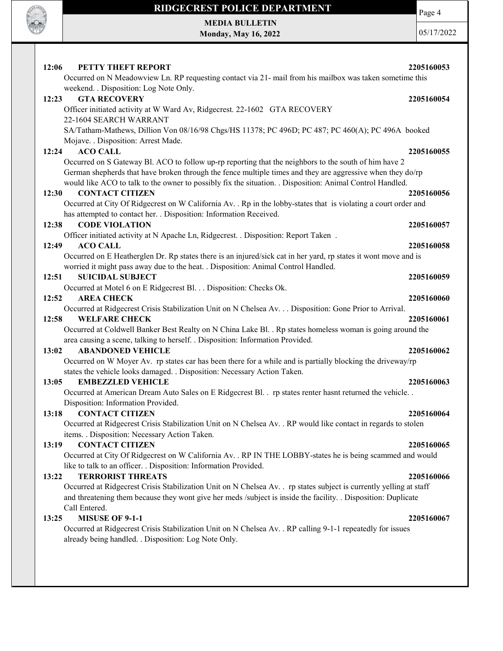

#### RIDGECREST POLICE DEPARTMENT MEDIA BULLETIN

Monday, May 16, 2022

Page 4

| 12:06<br>PETTY THEFT REPORT<br>Occurred on N Meadowview Ln. RP requesting contact via 21- mail from his mailbox was taken sometime this                                                                                                                                                                                          | 2205160053 |
|----------------------------------------------------------------------------------------------------------------------------------------------------------------------------------------------------------------------------------------------------------------------------------------------------------------------------------|------------|
| weekend. . Disposition: Log Note Only.                                                                                                                                                                                                                                                                                           |            |
| <b>GTA RECOVERY</b><br>12:23                                                                                                                                                                                                                                                                                                     | 2205160054 |
| Officer initiated activity at W Ward Av, Ridgecrest. 22-1602 GTA RECOVERY                                                                                                                                                                                                                                                        |            |
| 22-1604 SEARCH WARRANT                                                                                                                                                                                                                                                                                                           |            |
| SA/Tatham-Mathews, Dillion Von 08/16/98 Chgs/HS 11378; PC 496D; PC 487; PC 460(A); PC 496A booked<br>Mojave. . Disposition: Arrest Made.                                                                                                                                                                                         |            |
| <b>ACO CALL</b><br>12:24                                                                                                                                                                                                                                                                                                         | 2205160055 |
| Occurred on S Gateway Bl. ACO to follow up-rp reporting that the neighbors to the south of him have 2<br>German shepherds that have broken through the fence multiple times and they are aggressive when they do/rp<br>would like ACO to talk to the owner to possibly fix the situation. . Disposition: Animal Control Handled. |            |
| 12:30<br><b>CONTACT CITIZEN</b>                                                                                                                                                                                                                                                                                                  | 2205160056 |
| Occurred at City Of Ridgecrest on W California Av. . Rp in the lobby-states that is violating a court order and<br>has attempted to contact her. . Disposition: Information Received.                                                                                                                                            |            |
| 12:38<br><b>CODE VIOLATION</b>                                                                                                                                                                                                                                                                                                   | 2205160057 |
| Officer initiated activity at N Apache Ln, Ridgecrest. . Disposition: Report Taken.                                                                                                                                                                                                                                              |            |
| 12:49<br><b>ACO CALL</b>                                                                                                                                                                                                                                                                                                         | 2205160058 |
| Occurred on E Heatherglen Dr. Rp states there is an injured/sick cat in her yard, rp states it wont move and is                                                                                                                                                                                                                  |            |
| worried it might pass away due to the heat. . Disposition: Animal Control Handled.                                                                                                                                                                                                                                               |            |
| <b>SUICIDAL SUBJECT</b><br>12:51                                                                                                                                                                                                                                                                                                 | 2205160059 |
| Occurred at Motel 6 on E Ridgecrest Bl. Disposition: Checks Ok.                                                                                                                                                                                                                                                                  |            |
| 12:52<br><b>AREA CHECK</b>                                                                                                                                                                                                                                                                                                       | 2205160060 |
| Occurred at Ridgecrest Crisis Stabilization Unit on N Chelsea Av. Disposition: Gone Prior to Arrival.                                                                                                                                                                                                                            |            |
| 12:58<br><b>WELFARE CHECK</b>                                                                                                                                                                                                                                                                                                    | 2205160061 |
| Occurred at Coldwell Banker Best Realty on N China Lake Bl. . Rp states homeless woman is going around the<br>area causing a scene, talking to herself. . Disposition: Information Provided.                                                                                                                                     |            |
| 13:02<br><b>ABANDONED VEHICLE</b>                                                                                                                                                                                                                                                                                                | 2205160062 |
| Occurred on W Moyer Av. rp states car has been there for a while and is partially blocking the driveway/rp<br>states the vehicle looks damaged. . Disposition: Necessary Action Taken.                                                                                                                                           |            |
| 13:05<br><b>EMBEZZLED VEHICLE</b>                                                                                                                                                                                                                                                                                                | 2205160063 |
| Occurred at American Dream Auto Sales on E Ridgecrest Bl. . rp states renter hasnt returned the vehicle. .<br>Disposition: Information Provided.                                                                                                                                                                                 |            |
| <b>CONTACT CITIZEN</b><br>13:18                                                                                                                                                                                                                                                                                                  | 2205160064 |
| Occurred at Ridgecrest Crisis Stabilization Unit on N Chelsea Av. . RP would like contact in regards to stolen                                                                                                                                                                                                                   |            |
| items. . Disposition: Necessary Action Taken.                                                                                                                                                                                                                                                                                    |            |
| <b>CONTACT CITIZEN</b><br>13:19                                                                                                                                                                                                                                                                                                  | 2205160065 |
| Occurred at City Of Ridgecrest on W California Av. . RP IN THE LOBBY-states he is being scammed and would<br>like to talk to an officer. . Disposition: Information Provided.                                                                                                                                                    |            |
| <b>TERRORIST THREATS</b><br>13:22                                                                                                                                                                                                                                                                                                | 2205160066 |
| Occurred at Ridgecrest Crisis Stabilization Unit on N Chelsea Av. . rp states subject is currently yelling at staff<br>and threatening them because they wont give her meds /subject is inside the facility. . Disposition: Duplicate<br>Call Entered.                                                                           |            |
| <b>MISUSE OF 9-1-1</b><br>13:25                                                                                                                                                                                                                                                                                                  | 2205160067 |
| Occurred at Ridgecrest Crisis Stabilization Unit on N Chelsea Av. . RP calling 9-1-1 repeatedly for issues                                                                                                                                                                                                                       |            |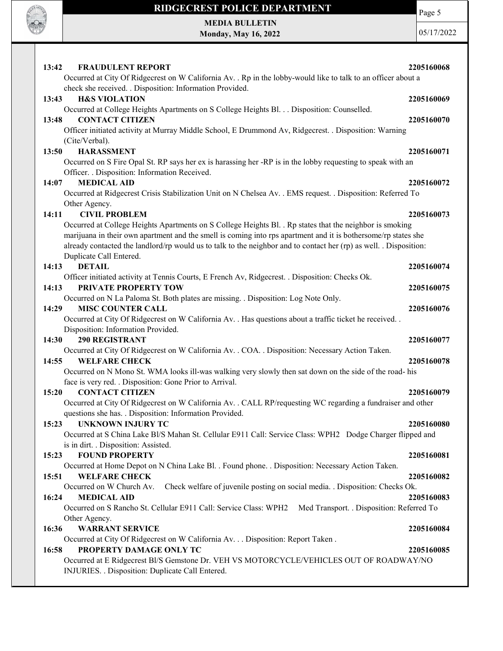

Page 5

MEDIA BULLETIN Monday, May 16, 2022

| <b>FRAUDULENT REPORT</b><br>13:42<br>Occurred at City Of Ridgecrest on W California Av. . Rp in the lobby-would like to talk to an officer about a                                                                                                              | 2205160068 |
|-----------------------------------------------------------------------------------------------------------------------------------------------------------------------------------------------------------------------------------------------------------------|------------|
| check she received. . Disposition: Information Provided.<br><b>H&amp;S VIOLATION</b><br>13:43                                                                                                                                                                   | 2205160069 |
| Occurred at College Heights Apartments on S College Heights Bl. Disposition: Counselled.                                                                                                                                                                        |            |
| <b>CONTACT CITIZEN</b><br>13:48                                                                                                                                                                                                                                 | 2205160070 |
| Officer initiated activity at Murray Middle School, E Drummond Av, Ridgecrest. . Disposition: Warning                                                                                                                                                           |            |
| (Cite/Verbal).                                                                                                                                                                                                                                                  |            |
| <b>HARASSMENT</b><br>13:50                                                                                                                                                                                                                                      | 2205160071 |
| Occurred on S Fire Opal St. RP says her ex is harassing her -RP is in the lobby requesting to speak with an<br>Officer. . Disposition: Information Received.                                                                                                    |            |
| <b>MEDICAL AID</b><br>14:07                                                                                                                                                                                                                                     | 2205160072 |
| Occurred at Ridgecrest Crisis Stabilization Unit on N Chelsea Av. . EMS request. . Disposition: Referred To                                                                                                                                                     |            |
| Other Agency.                                                                                                                                                                                                                                                   |            |
| 14:11<br><b>CIVIL PROBLEM</b>                                                                                                                                                                                                                                   | 2205160073 |
| Occurred at College Heights Apartments on S College Heights Bl. . Rp states that the neighbor is smoking                                                                                                                                                        |            |
| marijuana in their own apartment and the smell is coming into rps apartment and it is bothersome/rp states she<br>already contacted the landlord/rp would us to talk to the neighbor and to contact her (rp) as well. . Disposition:<br>Duplicate Call Entered. |            |
| <b>DETAIL</b><br>14:13                                                                                                                                                                                                                                          | 2205160074 |
| Officer initiated activity at Tennis Courts, E French Av, Ridgecrest. . Disposition: Checks Ok.                                                                                                                                                                 |            |
| PRIVATE PROPERTY TOW<br>14:13                                                                                                                                                                                                                                   | 2205160075 |
| Occurred on N La Paloma St. Both plates are missing. . Disposition: Log Note Only.                                                                                                                                                                              |            |
| <b>MISC COUNTER CALL</b><br>14:29                                                                                                                                                                                                                               | 2205160076 |
| Occurred at City Of Ridgecrest on W California Av. . Has questions about a traffic ticket he received. .                                                                                                                                                        |            |
| Disposition: Information Provided.<br><b>290 REGISTRANT</b><br>14:30                                                                                                                                                                                            | 2205160077 |
| Occurred at City Of Ridgecrest on W California Av. . COA. . Disposition: Necessary Action Taken.                                                                                                                                                                |            |
| 14:55<br><b>WELFARE CHECK</b>                                                                                                                                                                                                                                   | 2205160078 |
| Occurred on N Mono St. WMA looks ill-was walking very slowly then sat down on the side of the road- his                                                                                                                                                         |            |
| face is very red. . Disposition: Gone Prior to Arrival.                                                                                                                                                                                                         |            |
| <b>CONTACT CITIZEN</b><br>15:20                                                                                                                                                                                                                                 | 2205160079 |
| Occurred at City Of Ridgecrest on W California Av. . CALL RP/requesting WC regarding a fundraiser and other<br>questions she has. . Disposition: Information Provided.                                                                                          |            |
| 15:23 UNKNOWN INJURY TC                                                                                                                                                                                                                                         | 2205160080 |
| Occurred at S China Lake Bl/S Mahan St. Cellular E911 Call: Service Class: WPH2 Dodge Charger flipped and                                                                                                                                                       |            |
| is in dirt. . Disposition: Assisted.                                                                                                                                                                                                                            |            |
| <b>FOUND PROPERTY</b><br>15:23                                                                                                                                                                                                                                  | 2205160081 |
| Occurred at Home Depot on N China Lake Bl. . Found phone. . Disposition: Necessary Action Taken.<br><b>WELFARE CHECK</b><br>15:51                                                                                                                               | 2205160082 |
| Check welfare of juvenile posting on social media. . Disposition: Checks Ok.<br>Occurred on W Church Av.                                                                                                                                                        |            |
| <b>MEDICAL AID</b><br>16:24                                                                                                                                                                                                                                     | 2205160083 |
| Occurred on S Rancho St. Cellular E911 Call: Service Class: WPH2<br>Med Transport. . Disposition: Referred To                                                                                                                                                   |            |
| Other Agency.                                                                                                                                                                                                                                                   |            |
| 16:36<br><b>WARRANT SERVICE</b>                                                                                                                                                                                                                                 | 2205160084 |
| Occurred at City Of Ridgecrest on W California Av. Disposition: Report Taken .                                                                                                                                                                                  |            |
| PROPERTY DAMAGE ONLY TC<br>16:58                                                                                                                                                                                                                                | 2205160085 |
| Occurred at E Ridgecrest Bl/S Gemstone Dr. VEH VS MOTORCYCLE/VEHICLES OUT OF ROADWAY/NO                                                                                                                                                                         |            |
| INJURIES. . Disposition: Duplicate Call Entered.                                                                                                                                                                                                                |            |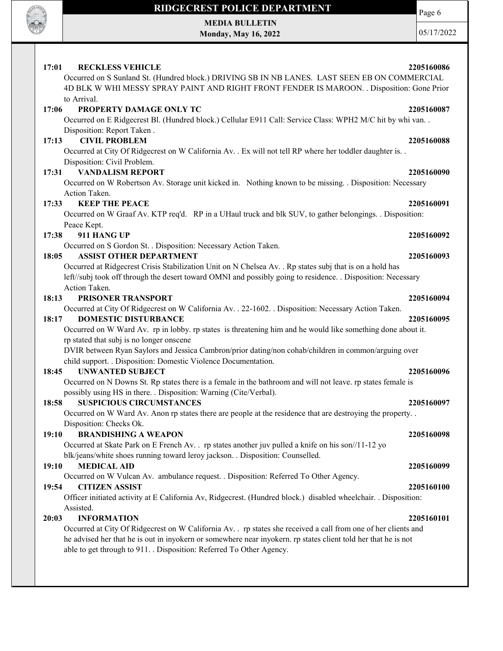

Page 6

MEDIA BULLETIN Monday, May 16, 2022

| 17:01 | <b>RECKLESS VEHICLE</b>                                                                                                      | 2205160086 |
|-------|------------------------------------------------------------------------------------------------------------------------------|------------|
|       | Occurred on S Sunland St. (Hundred block.) DRIVING SB IN NB LANES. LAST SEEN EB ON COMMERCIAL                                |            |
|       | 4D BLK W WHI MESSY SPRAY PAINT AND RIGHT FRONT FENDER IS MAROON. . Disposition: Gone Prior                                   |            |
|       | to Arrival.                                                                                                                  |            |
| 17:06 | PROPERTY DAMAGE ONLY TC                                                                                                      | 2205160087 |
|       | Occurred on E Ridgecrest Bl. (Hundred block.) Cellular E911 Call: Service Class: WPH2 M/C hit by whi van. .                  |            |
|       | Disposition: Report Taken.                                                                                                   |            |
| 17:13 | <b>CIVIL PROBLEM</b>                                                                                                         | 2205160088 |
|       | Occurred at City Of Ridgecrest on W California Av. . Ex will not tell RP where her toddler daughter is. .                    |            |
|       | Disposition: Civil Problem.                                                                                                  |            |
| 17:31 | <b>VANDALISM REPORT</b>                                                                                                      | 2205160090 |
|       | Occurred on W Robertson Av. Storage unit kicked in. Nothing known to be missing. . Disposition: Necessary                    |            |
|       | Action Taken.                                                                                                                |            |
| 17:33 | <b>KEEP THE PEACE</b>                                                                                                        | 2205160091 |
|       | Occurred on W Graaf Av. KTP req'd. RP in a UHaul truck and blk SUV, to gather belongings. . Disposition:                     |            |
| 17:38 | Peace Kept.<br>911 HANG UP                                                                                                   | 2205160092 |
|       | Occurred on S Gordon St. . Disposition: Necessary Action Taken.                                                              |            |
| 18:05 | <b>ASSIST OTHER DEPARTMENT</b>                                                                                               | 2205160093 |
|       | Occurred at Ridgecrest Crisis Stabilization Unit on N Chelsea Av. . Rp states subj that is on a hold has                     |            |
|       | left//subj took off through the desert toward OMNI and possibly going to residence. . Disposition: Necessary                 |            |
|       | Action Taken.                                                                                                                |            |
| 18:13 | PRISONER TRANSPORT                                                                                                           | 2205160094 |
|       | Occurred at City Of Ridgecrest on W California Av. . 22-1602. . Disposition: Necessary Action Taken.                         |            |
| 18:17 | <b>DOMESTIC DISTURBANCE</b>                                                                                                  | 2205160095 |
|       | Occurred on W Ward Av. rp in lobby. rp states is threatening him and he would like something done about it.                  |            |
|       | rp stated that subj is no longer onscene                                                                                     |            |
|       | DVIR between Ryan Saylors and Jessica Cambron/prior dating/non cohab/children in common/arguing over                         |            |
|       | child support. . Disposition: Domestic Violence Documentation.                                                               |            |
| 18:45 | <b>UNWANTED SUBJECT</b>                                                                                                      | 2205160096 |
|       | Occurred on N Downs St. Rp states there is a female in the bathroom and will not leave. rp states female is                  |            |
|       | possibly using HS in there. . Disposition: Warning (Cite/Verbal).                                                            |            |
| 18:58 | <b>SUSPICIOUS CIRCUMSTANCES</b>                                                                                              | 2205160097 |
|       | Occurred on W Ward Av. Anon rp states there are people at the residence that are destroying the property                     |            |
|       | Disposition: Checks Ok.                                                                                                      |            |
| 19:10 | <b>BRANDISHING A WEAPON</b>                                                                                                  | 2205160098 |
|       | Occurred at Skate Park on E French Av. . rp states another juv pulled a knife on his son//11-12 yo                           |            |
|       | blk/jeans/white shoes running toward leroy jackson. . Disposition: Counselled.                                               |            |
| 19:10 | <b>MEDICAL AID</b>                                                                                                           | 2205160099 |
|       | Occurred on W Vulcan Av. ambulance request. . Disposition: Referred To Other Agency.                                         |            |
| 19:54 | <b>CITIZEN ASSIST</b>                                                                                                        | 2205160100 |
|       | Officer initiated activity at E California Av, Ridgecrest. (Hundred block.) disabled wheelchair. . Disposition:<br>Assisted. |            |
| 20:03 | <b>INFORMATION</b>                                                                                                           | 2205160101 |
|       | Occurred at City Of Ridgecrest on W California Av. . rp states she received a call from one of her clients and               |            |
|       | he advised her that he is out in inyokern or somewhere near inyokern. rp states client told her that he is not               |            |
|       | able to get through to 911. . Disposition: Referred To Other Agency.                                                         |            |
|       |                                                                                                                              |            |
|       |                                                                                                                              |            |